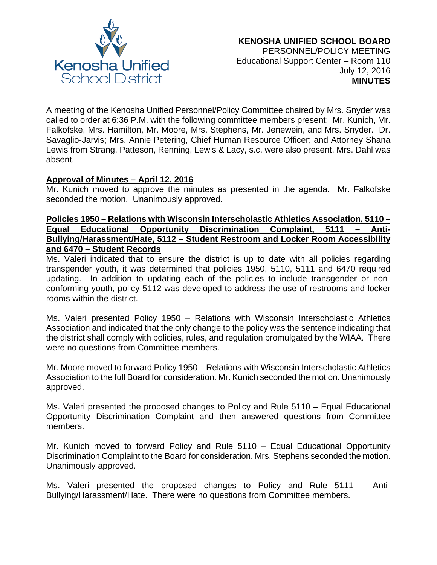

A meeting of the Kenosha Unified Personnel/Policy Committee chaired by Mrs. Snyder was called to order at 6:36 P.M. with the following committee members present: Mr. Kunich, Mr. Falkofske, Mrs. Hamilton, Mr. Moore, Mrs. Stephens, Mr. Jenewein, and Mrs. Snyder. Dr. Savaglio-Jarvis; Mrs. Annie Petering, Chief Human Resource Officer; and Attorney Shana Lewis from Strang, Patteson, Renning, Lewis & Lacy, s.c. were also present. Mrs. Dahl was absent.

## **Approval of Minutes – April 12, 2016**

Mr. Kunich moved to approve the minutes as presented in the agenda. Mr. Falkofske seconded the motion. Unanimously approved.

## **Policies 1950 – Relations with Wisconsin Interscholastic Athletics Association, 5110 – Equal Educational Opportunity Discrimination Complaint, 5111 – Anti-Bullying/Harassment/Hate, 5112 – Student Restroom and Locker Room Accessibility and 6470 – Student Records**

Ms. Valeri indicated that to ensure the district is up to date with all policies regarding transgender youth, it was determined that policies 1950, 5110, 5111 and 6470 required updating. In addition to updating each of the policies to include transgender or nonconforming youth, policy 5112 was developed to address the use of restrooms and locker rooms within the district.

Ms. Valeri presented Policy 1950 – Relations with Wisconsin Interscholastic Athletics Association and indicated that the only change to the policy was the sentence indicating that the district shall comply with policies, rules, and regulation promulgated by the WIAA. There were no questions from Committee members.

Mr. Moore moved to forward Policy 1950 – Relations with Wisconsin Interscholastic Athletics Association to the full Board for consideration. Mr. Kunich seconded the motion. Unanimously approved.

Ms. Valeri presented the proposed changes to Policy and Rule 5110 – Equal Educational Opportunity Discrimination Complaint and then answered questions from Committee members.

Mr. Kunich moved to forward Policy and Rule 5110 – Equal Educational Opportunity Discrimination Complaint to the Board for consideration. Mrs. Stephens seconded the motion. Unanimously approved.

Ms. Valeri presented the proposed changes to Policy and Rule 5111 – Anti-Bullying/Harassment/Hate. There were no questions from Committee members.